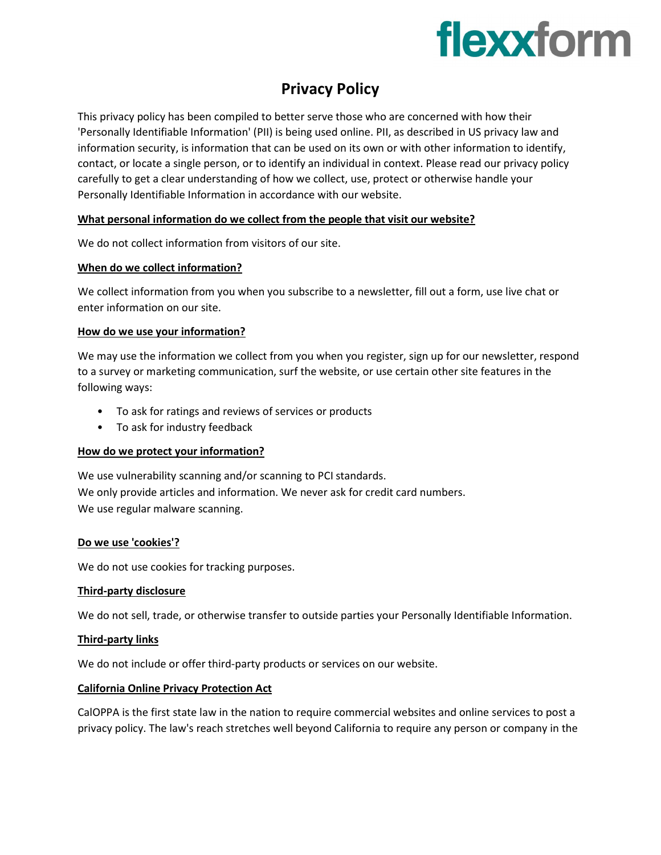# flexxform

### Privacy Policy

This privacy policy has been compiled to better serve those who are concerned with how their 'Personally Identifiable Information' (PII) is being used online. PII, as described in US privacy law and information security, is information that can be used on its own or with other information to identify, contact, or locate a single person, or to identify an individual in context. Please read our privacy policy carefully to get a clear understanding of how we collect, use, protect or otherwise handle your Personally Identifiable Information in accordance with our website.

#### What personal information do we collect from the people that visit our website?

We do not collect information from visitors of our site.

#### When do we collect information?

We collect information from you when you subscribe to a newsletter, fill out a form, use live chat or enter information on our site.

#### How do we use your information?

We may use the information we collect from you when you register, sign up for our newsletter, respond to a survey or marketing communication, surf the website, or use certain other site features in the following ways:

- To ask for ratings and reviews of services or products
- To ask for industry feedback

#### How do we protect your information?

We use vulnerability scanning and/or scanning to PCI standards. We only provide articles and information. We never ask for credit card numbers. We use regular malware scanning.

#### Do we use 'cookies'?

We do not use cookies for tracking purposes.

#### Third-party disclosure

We do not sell, trade, or otherwise transfer to outside parties your Personally Identifiable Information.

#### Third-party links

We do not include or offer third-party products or services on our website.

#### California Online Privacy Protection Act

CalOPPA is the first state law in the nation to require commercial websites and online services to post a privacy policy. The law's reach stretches well beyond California to require any person or company in the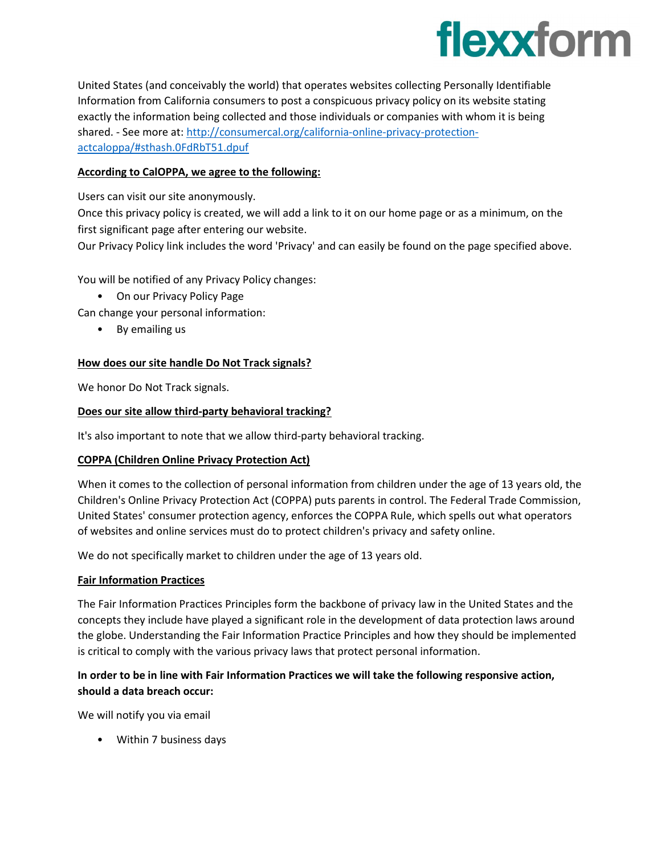## flexxform

United States (and conceivably the world) that operates websites collecting Personally Identifiable Information from California consumers to post a conspicuous privacy policy on its website stating exactly the information being collected and those individuals or companies with whom it is being shared. - See more at: http://consumercal.org/california-online-privacy-protectionactcaloppa/#sthash.0FdRbT51.dpuf

#### According to CalOPPA, we agree to the following:

Users can visit our site anonymously.

Once this privacy policy is created, we will add a link to it on our home page or as a minimum, on the first significant page after entering our website.

Our Privacy Policy link includes the word 'Privacy' and can easily be found on the page specified above.

You will be notified of any Privacy Policy changes:

• On our Privacy Policy Page

Can change your personal information:

• By emailing us

#### How does our site handle Do Not Track signals?

We honor Do Not Track signals.

#### Does our site allow third-party behavioral tracking?

It's also important to note that we allow third-party behavioral tracking.

#### COPPA (Children Online Privacy Protection Act)

When it comes to the collection of personal information from children under the age of 13 years old, the Children's Online Privacy Protection Act (COPPA) puts parents in control. The Federal Trade Commission, United States' consumer protection agency, enforces the COPPA Rule, which spells out what operators of websites and online services must do to protect children's privacy and safety online.

We do not specifically market to children under the age of 13 years old.

#### Fair Information Practices

The Fair Information Practices Principles form the backbone of privacy law in the United States and the concepts they include have played a significant role in the development of data protection laws around the globe. Understanding the Fair Information Practice Principles and how they should be implemented is critical to comply with the various privacy laws that protect personal information.

#### In order to be in line with Fair Information Practices we will take the following responsive action, should a data breach occur:

We will notify you via email

• Within 7 business days